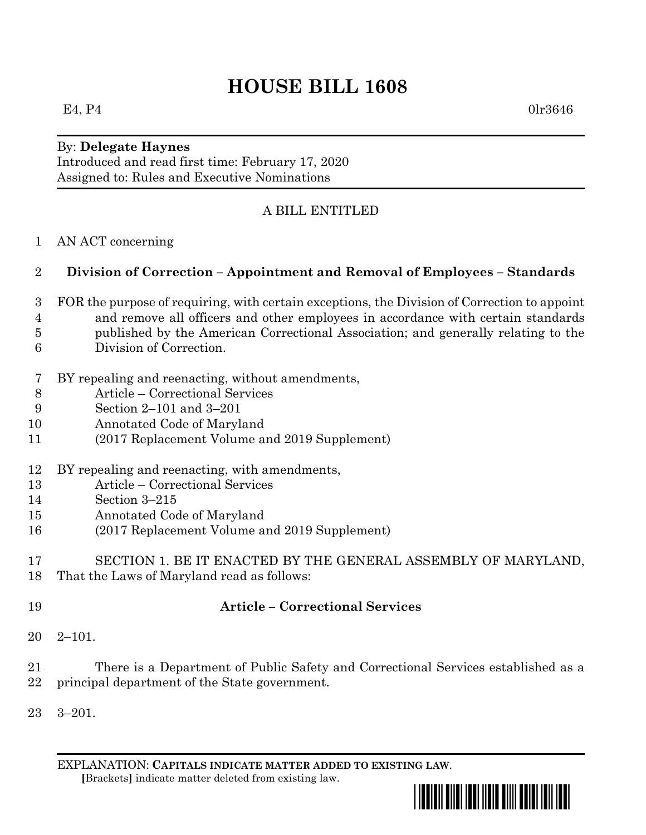# **HOUSE BILL 1608**

## By: **Delegate Haynes**

Introduced and read first time: February 17, 2020 Assigned to: Rules and Executive Nominations

### A BILL ENTITLED

AN ACT concerning

### **Division of Correction – Appointment and Removal of Employees – Standards**

- FOR the purpose of requiring, with certain exceptions, the Division of Correction to appoint and remove all officers and other employees in accordance with certain standards published by the American Correctional Association; and generally relating to the Division of Correction.
- BY repealing and reenacting, without amendments,
- Article Correctional Services
- Section 2–101 and 3–201
- Annotated Code of Maryland
- (2017 Replacement Volume and 2019 Supplement)
- BY repealing and reenacting, with amendments,
- Article Correctional Services
- Section 3–215
- Annotated Code of Maryland
- (2017 Replacement Volume and 2019 Supplement)
- SECTION 1. BE IT ENACTED BY THE GENERAL ASSEMBLY OF MARYLAND, That the Laws of Maryland read as follows:
- 

#### **Article – Correctional Services**

- 2–101.
- There is a Department of Public Safety and Correctional Services established as a principal department of the State government.
- 3–201.

EXPLANATION: **CAPITALS INDICATE MATTER ADDED TO EXISTING LAW**.  **[**Brackets**]** indicate matter deleted from existing law.



E4, P4 0lr3646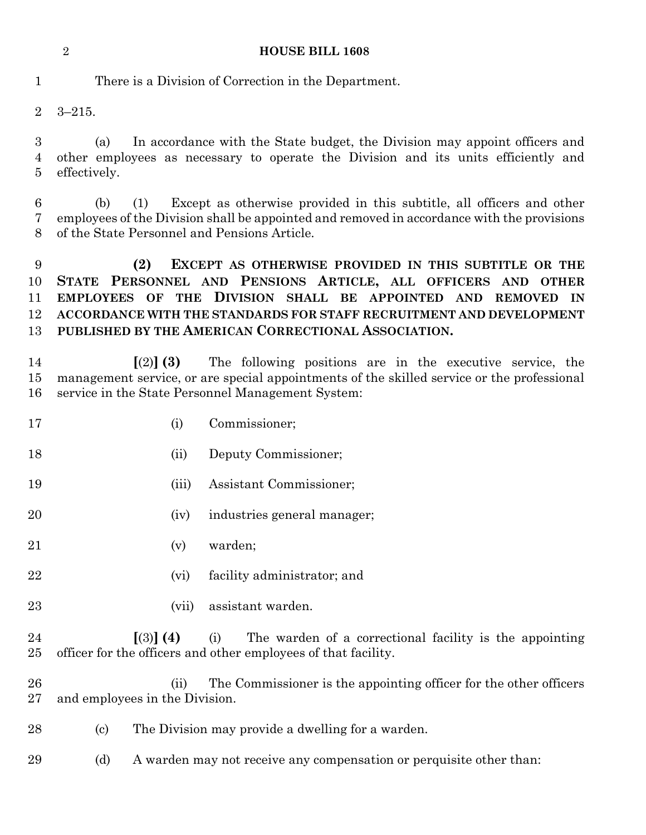| <b>HOUSE BILL 1608</b> |
|------------------------|
|                        |

There is a Division of Correction in the Department.

3–215.

 (a) In accordance with the State budget, the Division may appoint officers and other employees as necessary to operate the Division and its units efficiently and effectively.

 (b) (1) Except as otherwise provided in this subtitle, all officers and other employees of the Division shall be appointed and removed in accordance with the provisions of the State Personnel and Pensions Article.

 **(2) EXCEPT AS OTHERWISE PROVIDED IN THIS SUBTITLE OR THE STATE PERSONNEL AND PENSIONS ARTICLE, ALL OFFICERS AND OTHER EMPLOYEES OF THE DIVISION SHALL BE APPOINTED AND REMOVED IN ACCORDANCE WITH THE STANDARDS FOR STAFF RECRUITMENT AND DEVELOPMENT PUBLISHED BY THE AMERICAN CORRECTIONAL ASSOCIATION.**

 **[**(2)**] (3)** The following positions are in the executive service, the management service, or are special appointments of the skilled service or the professional service in the State Personnel Management System:

- (i) Commissioner;
- (ii) Deputy Commissioner;
- (iii) Assistant Commissioner;
- (iv) industries general manager;
- (v) warden;
- (vi) facility administrator; and
- (vii) assistant warden.

 **[**(3)**] (4)** (i) The warden of a correctional facility is the appointing officer for the officers and other employees of that facility.

26 (ii) The Commissioner is the appointing officer for the other officers and employees in the Division.

- (c) The Division may provide a dwelling for a warden.
- 29 (d) A warden may not receive any compensation or perquisite other than: